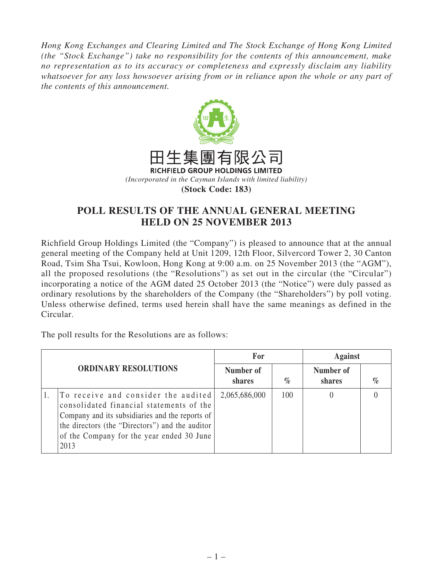*Hong Kong Exchanges and Clearing Limited and The Stock Exchange of Hong Kong Limited (the "Stock Exchange") take no responsibility for the contents of this announcement, make no representation as to its accuracy or completeness and expressly disclaim any liability whatsoever for any loss howsoever arising from or in reliance upon the whole or any part of the contents of this announcement.*



## **POLL RESULTS OF THE ANNUAL GENERAL MEETING HELD ON 25 NOVEMBER 2013**

Richfield Group Holdings Limited (the "Company") is pleased to announce that at the annual general meeting of the Company held at Unit 1209, 12th Floor, Silvercord Tower 2, 30 Canton Road, Tsim Sha Tsui, Kowloon, Hong Kong at 9:00 a.m. on 25 November 2013 (the "AGM"), all the proposed resolutions (the "Resolutions") as set out in the circular (the "Circular") incorporating a notice of the AGM dated 25 October 2013 (the "Notice") were duly passed as ordinary resolutions by the shareholders of the Company (the "Shareholders") by poll voting. Unless otherwise defined, terms used herein shall have the same meanings as defined in the Circular.

The poll results for the Resolutions are as follows:

| <b>ORDINARY RESOLUTIONS</b> |                                                                                                                                                                                                                                            | For                 |      | <b>Against</b>      |      |
|-----------------------------|--------------------------------------------------------------------------------------------------------------------------------------------------------------------------------------------------------------------------------------------|---------------------|------|---------------------|------|
|                             |                                                                                                                                                                                                                                            | Number of<br>shares | $\%$ | Number of<br>shares | $\%$ |
|                             | To receive and consider the audited<br>consolidated financial statements of the<br>Company and its subsidiaries and the reports of<br>the directors (the "Directors") and the auditor<br>of the Company for the year ended 30 June<br>2013 | 2,065,686,000       | 100  |                     |      |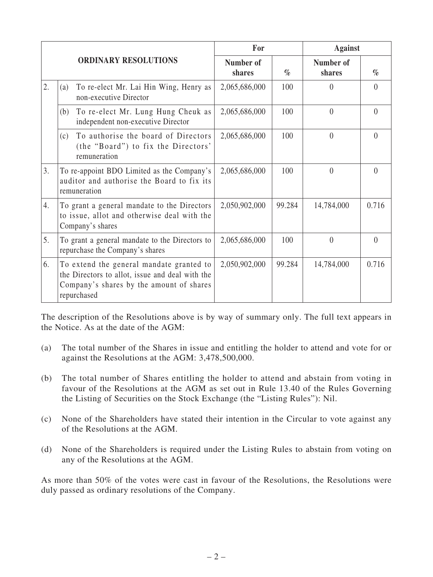|    |                                                                                                                                                        | For                 |        | <b>Against</b>      |          |
|----|--------------------------------------------------------------------------------------------------------------------------------------------------------|---------------------|--------|---------------------|----------|
|    | <b>ORDINARY RESOLUTIONS</b>                                                                                                                            | Number of<br>shares | $\%$   | Number of<br>shares | $\%$     |
| 2. | To re-elect Mr. Lai Hin Wing, Henry as<br>(a)<br>non-executive Director                                                                                | 2,065,686,000       | 100    | $\Omega$            | $\theta$ |
|    | To re-elect Mr. Lung Hung Cheuk as<br>(b)<br>independent non-executive Director                                                                        | 2,065,686,000       | 100    | $\theta$            | $\theta$ |
|    | To authorise the board of Directors<br>(c)<br>(the "Board") to fix the Directors'<br>remuneration                                                      | 2,065,686,000       | 100    | $\theta$            | $\theta$ |
| 3. | To re-appoint BDO Limited as the Company's<br>auditor and authorise the Board to fix its<br>remuneration                                               | 2,065,686,000       | 100    | $\theta$            | $\Omega$ |
| 4. | To grant a general mandate to the Directors<br>to issue, allot and otherwise deal with the<br>Company's shares                                         | 2,050,902,000       | 99.284 | 14,784,000          | 0.716    |
| 5. | To grant a general mandate to the Directors to<br>repurchase the Company's shares                                                                      | 2,065,686,000       | 100    | $\theta$            | $\theta$ |
| 6. | To extend the general mandate granted to<br>the Directors to allot, issue and deal with the<br>Company's shares by the amount of shares<br>repurchased | 2,050,902,000       | 99.284 | 14,784,000          | 0.716    |

The description of the Resolutions above is by way of summary only. The full text appears in the Notice. As at the date of the AGM:

- (a) The total number of the Shares in issue and entitling the holder to attend and vote for or against the Resolutions at the AGM: 3,478,500,000.
- (b) The total number of Shares entitling the holder to attend and abstain from voting in favour of the Resolutions at the AGM as set out in Rule 13.40 of the Rules Governing the Listing of Securities on the Stock Exchange (the "Listing Rules"): Nil.
- (c) None of the Shareholders have stated their intention in the Circular to vote against any of the Resolutions at the AGM.
- (d) None of the Shareholders is required under the Listing Rules to abstain from voting on any of the Resolutions at the AGM.

As more than 50% of the votes were cast in favour of the Resolutions, the Resolutions were duly passed as ordinary resolutions of the Company.